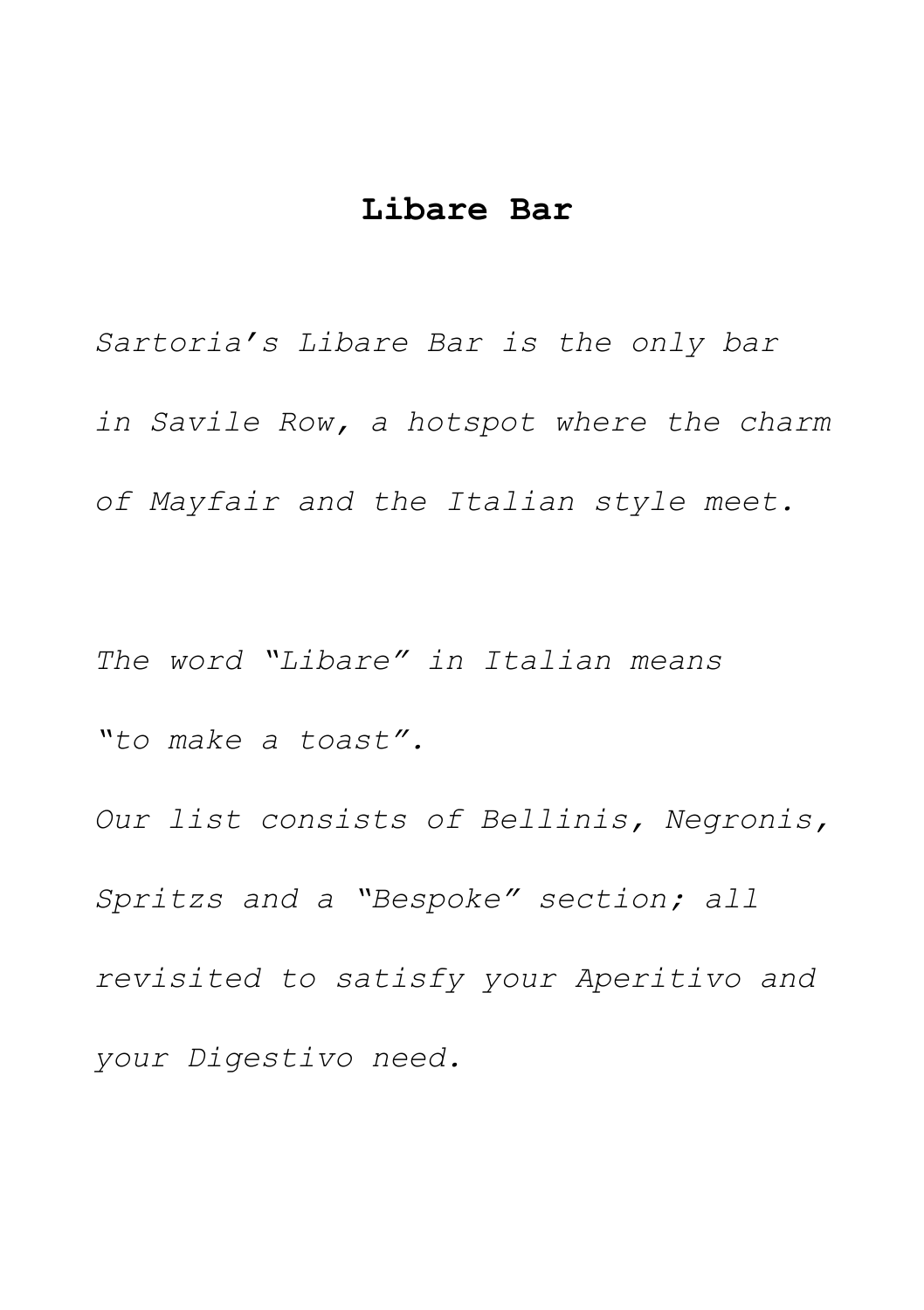## **Libare Bar**

*Sartoria's Libare Bar is the only bar in Savile Row, a hotspot where the charm of Mayfair and the Italian style meet.*

*The word "Libare" in Italian means "to make a toast".*

*Our list consists of Bellinis, Negronis, Spritzs and a "Bespoke" section; all revisited to satisfy your Aperitivo and your Digestivo need.*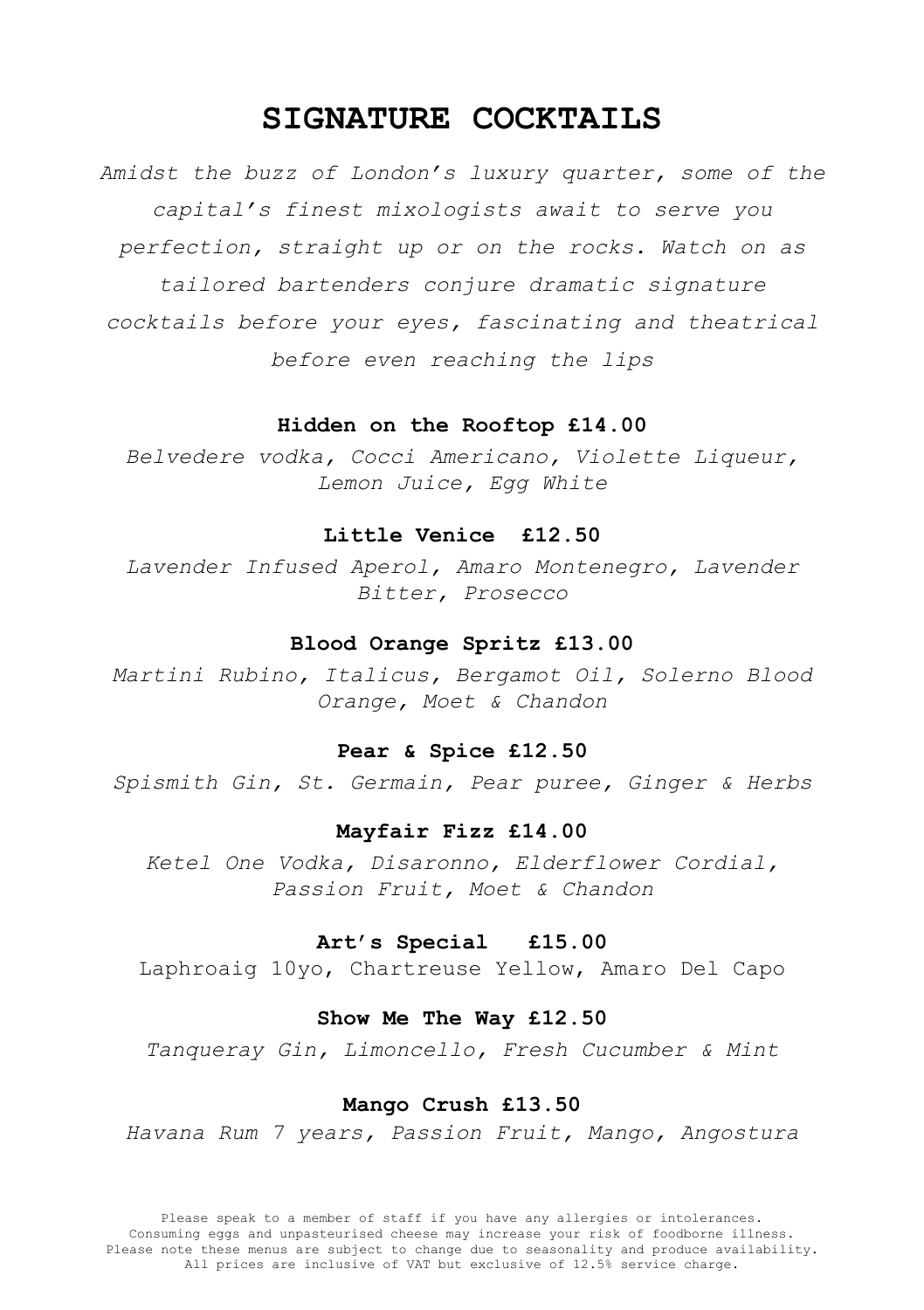## **SIGNATURE COCKTAILS**

*Amidst the buzz of London's luxury quarter, some of the capital's finest mixologists await to serve you perfection, straight up or on the rocks. Watch on as tailored bartenders conjure dramatic signature cocktails before your eyes, fascinating and theatrical before even reaching the lips*

#### **Hidden on the Rooftop £14.00**

*Belvedere vodka, Cocci Americano, Violette Liqueur, Lemon Juice, Egg White*

## **Little Venice £12.50**

*Lavender Infused Aperol, Amaro Montenegro, Lavender Bitter, Prosecco*

#### **Blood Orange Spritz £13.00**

*Martini Rubino, Italicus, Bergamot Oil, Solerno Blood Orange, Moet & Chandon*

#### **Pear & Spice £12.50**

*Spismith Gin, St. Germain, Pear puree, Ginger & Herbs*

#### **Mayfair Fizz £14.00**

*Ketel One Vodka, Disaronno, Elderflower Cordial, Passion Fruit, Moet & Chandon* 

#### **Art's Special £15.00**

Laphroaig 10yo, Chartreuse Yellow, Amaro Del Capo

#### **Show Me The Way £12.50**

*Tanqueray Gin, Limoncello, Fresh Cucumber & Mint*

#### **Mango Crush £13.50**

*Havana Rum 7 years, Passion Fruit, Mango, Angostura*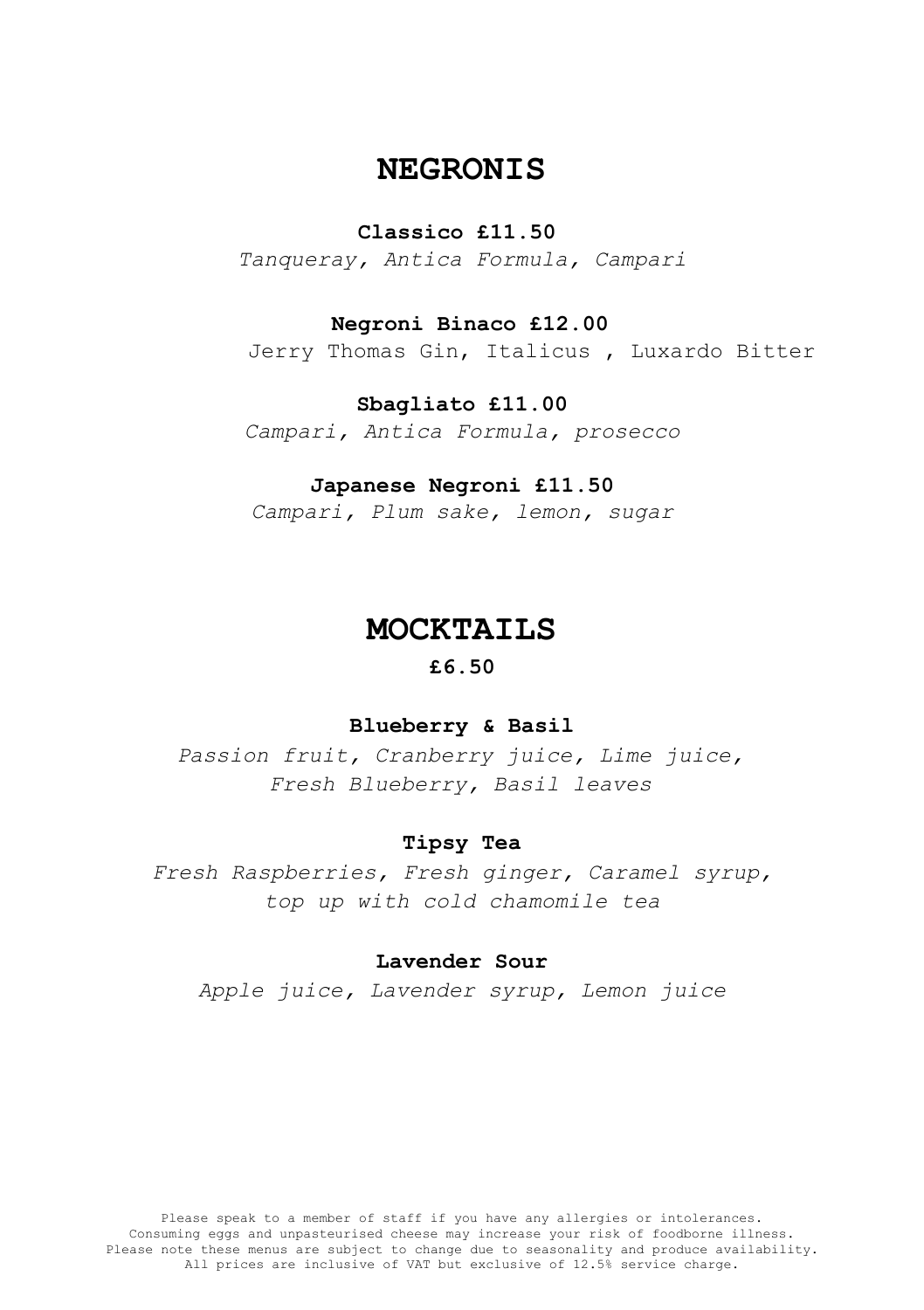## **NEGRONIS**

## **Classico £11.50**

*Tanqueray, Antica Formula, Campari*

## **Negroni Binaco £12.00**

Jerry Thomas Gin, Italicus , Luxardo Bitter

#### **Sbagliato £11.00**

*Campari, Antica Formula, prosecco*

#### **Japanese Negroni £11.50**

*Campari, Plum sake, lemon, sugar*

## **MOCKTAILS**

## **£6.50**

#### **Blueberry & Basil**

*Passion fruit, Cranberry juice, Lime juice, Fresh Blueberry, Basil leaves*

#### **Tipsy Tea**

*Fresh Raspberries, Fresh ginger, Caramel syrup, top up with cold chamomile tea* 

#### **Lavender Sour**

*Apple juice, Lavender syrup, Lemon juice*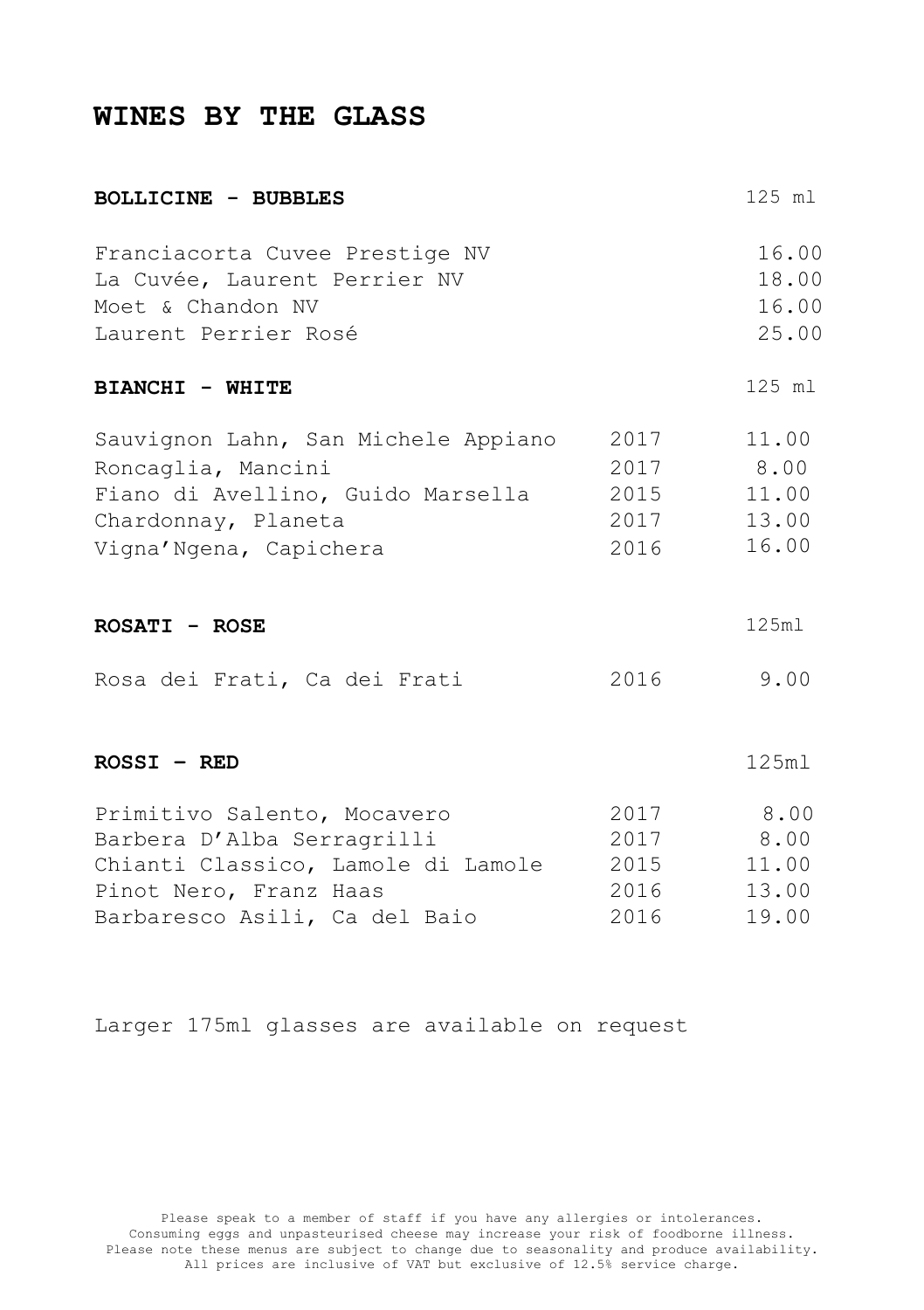## **WINES BY THE GLASS**

| <b>BOLLICINE - BUBBLES</b>                                                                                                                                 |                                      | 125 ml                                   |
|------------------------------------------------------------------------------------------------------------------------------------------------------------|--------------------------------------|------------------------------------------|
| Franciacorta Cuvee Prestige NV<br>La Cuvée, Laurent Perrier NV<br>Moet & Chandon NV<br>Laurent Perrier Rosé                                                |                                      | 16.00<br>18.00<br>16.00<br>25.00         |
| <b>BIANCHI - WHITE</b>                                                                                                                                     |                                      | 125 ml                                   |
| Sauvignon Lahn, San Michele Appiano<br>Roncaglia, Mancini<br>Fiano di Avellino, Guido Marsella<br>Chardonnay, Planeta<br>Vigna'Ngena, Capichera            | 2017<br>2017<br>2015<br>2017<br>2016 | 11.00<br>8.00<br>11.00<br>13.00<br>16.00 |
| ROSATI - ROSE                                                                                                                                              |                                      | 125m1                                    |
| Rosa dei Frati, Ca dei Frati                                                                                                                               | 2016                                 | 9.00                                     |
| $ROSI - RED$                                                                                                                                               |                                      | 125m1                                    |
| Primitivo Salento, Mocavero<br>Barbera D'Alba Serragrilli<br>Chianti Classico, Lamole di Lamole<br>Pinot Nero, Franz Haas<br>Barbaresco Asili, Ca del Baio | 2017<br>2017<br>2015<br>2016<br>2016 | 8.00<br>8.00<br>11.00<br>13.00<br>19.00  |

Larger 175ml glasses are available on request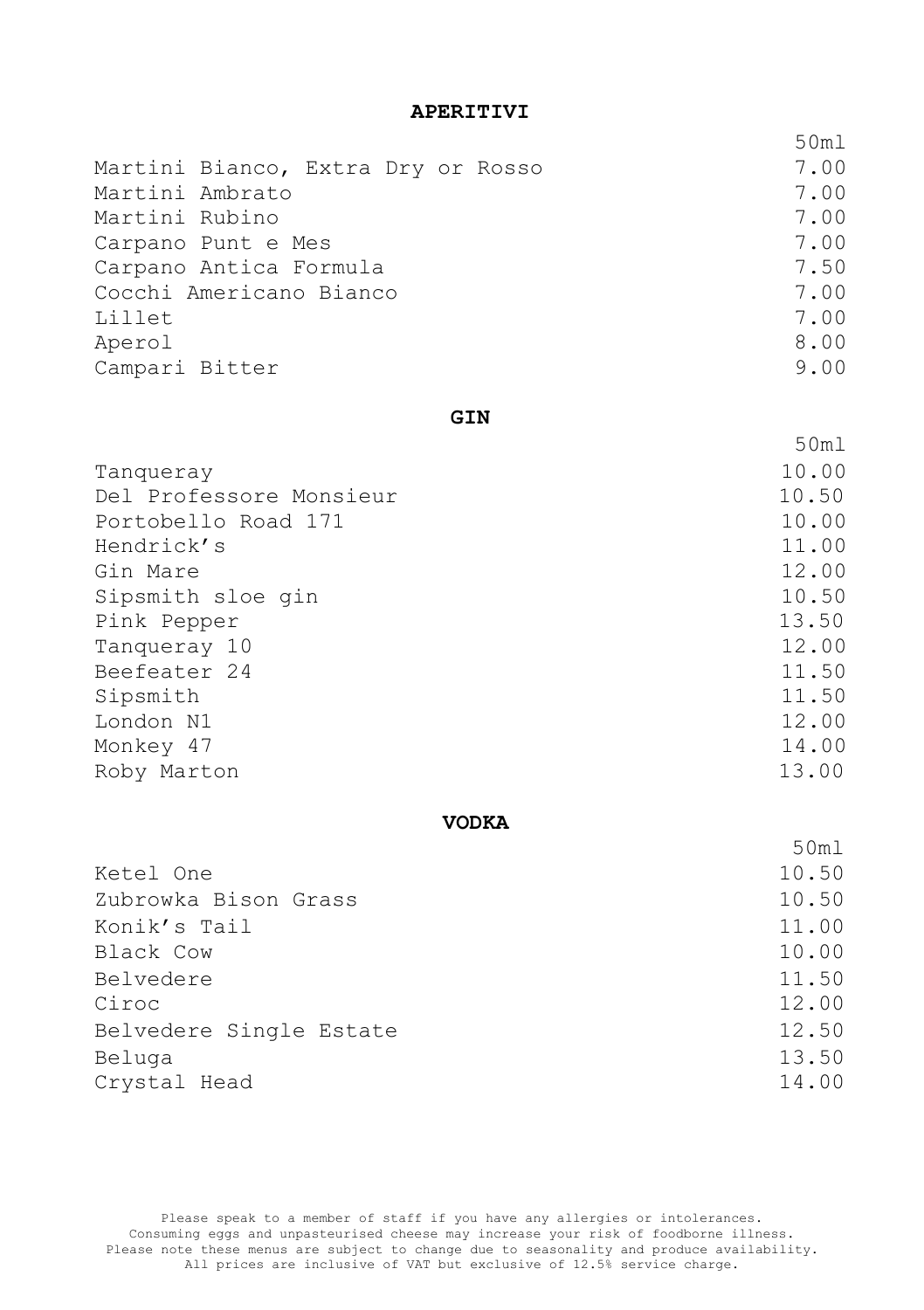## **APERITIVI**

|                                    | 50ml |
|------------------------------------|------|
| Martini Bianco, Extra Dry or Rosso | 7.00 |
| Martini Ambrato                    | 7.00 |
| Martini Rubino                     | 7.00 |
| Carpano Punt e Mes                 | 7.00 |
| Carpano Antica Formula             | 7.50 |
| Cocchi Americano Bianco            | 7.00 |
| Lillet                             | 7.00 |
| Aperol                             | 8.00 |
| Campari Bitter                     | 9.00 |

## **GIN**

50ml

| Tanqueray               | 10.00 |
|-------------------------|-------|
| Del Professore Monsieur | 10.50 |
| Portobello Road 171     | 10.00 |
| Hendrick's              | 11.00 |
| Gin Mare                | 12.00 |
| Sipsmith sloe qin       | 10.50 |
| Pink Pepper             | 13.50 |
| Tanqueray 10            | 12.00 |
| Beefeater 24            | 11.50 |
| Sipsmith                | 11.50 |
| London N1               | 12.00 |
| Monkev 47               | 14.00 |
| Roby Marton             | 13.00 |
|                         |       |

#### **VODKA**

|                         | 50m1  |
|-------------------------|-------|
| Ketel One               | 10.50 |
| Zubrowka Bison Grass    | 10.50 |
| Konik's Tail            | 11.00 |
| Black Cow               | 10.00 |
| Belvedere               | 11.50 |
| Ciroc                   | 12.00 |
| Belvedere Single Estate | 12.50 |
| Beluga                  | 13.50 |
| Crystal Head            | 14.00 |

Please speak to a member of staff if you have any allergies or intolerances. Consuming eggs and unpasteurised cheese may increase your risk of foodborne illness. Please note these menus are subject to change due to seasonality and produce availability. All prices are inclusive of VAT but exclusive of 12.5% service charge.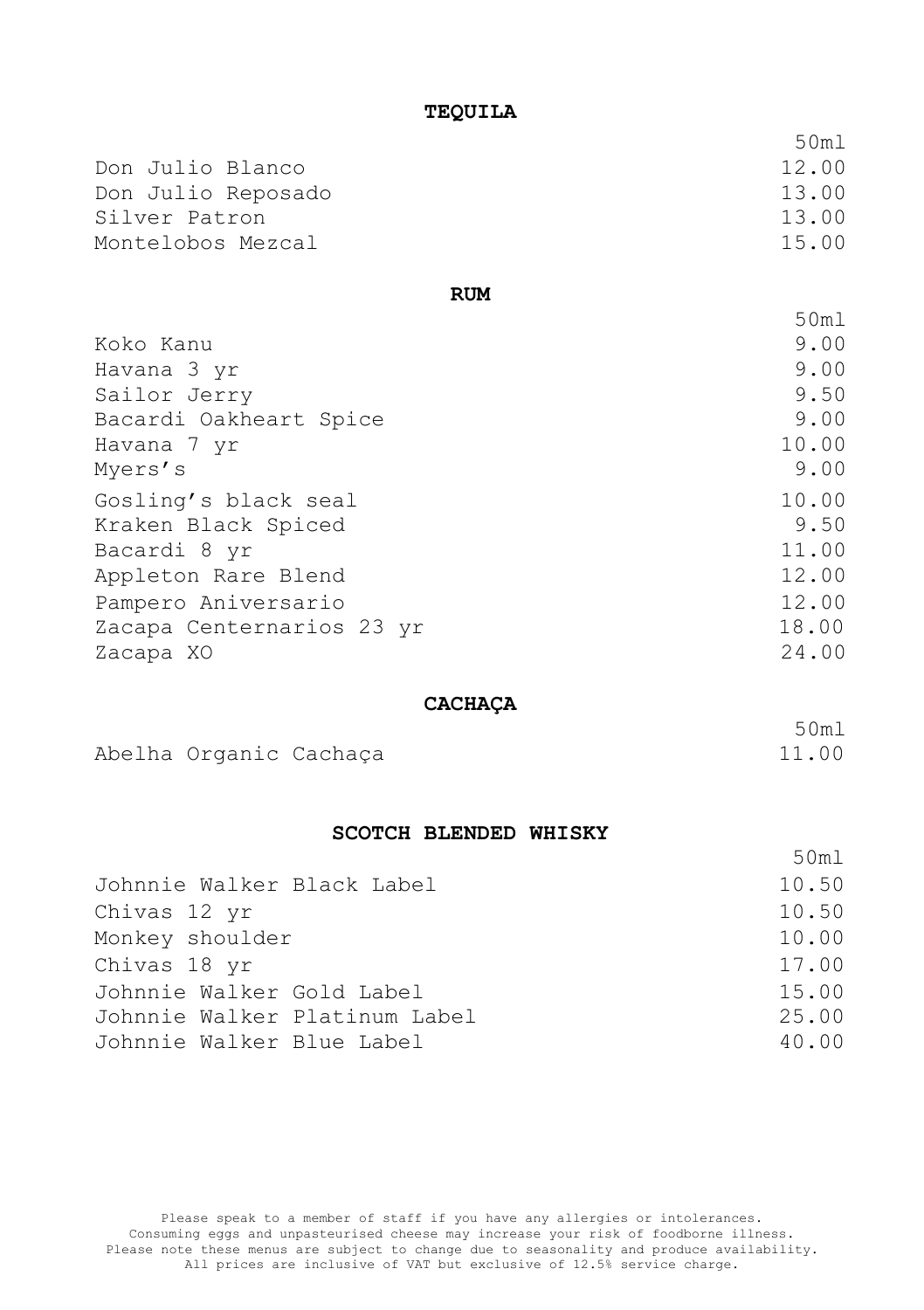## **TEQUILA**

|                    | 50ml  |
|--------------------|-------|
| Don Julio Blanco   | 12.00 |
| Don Julio Reposado | 13.00 |
| Silver Patron      | 13.00 |
| Montelobos Mezcal  | 15.00 |
|                    |       |

**RUM**

|                           | 50ml  |
|---------------------------|-------|
| Koko Kanu                 | 9.00  |
| Havana 3 yr               | 9.00  |
| Sailor Jerry              | 9.50  |
| Bacardi Oakheart Spice    | 9.00  |
| Havana 7 yr               | 10.00 |
| Myers's                   | 9.00  |
| Gosling's black seal      | 10.00 |
| Kraken Black Spiced       | 9.50  |
| Bacardi 8 yr              | 11.00 |
| Appleton Rare Blend       | 12.00 |
| Pampero Aniversario       | 12.00 |
| Zacapa Centernarios 23 yr | 18.00 |
| Zacapa XO                 | 24.00 |

## **CACHAÇA**

| Abelha Organic Cachaça |  | 11.00 |
|------------------------|--|-------|
|------------------------|--|-------|

**SCOTCH BLENDED WHISKY**

| Johnnie Walker Black Label    | 10.50 |
|-------------------------------|-------|
| Chivas 12 yr                  | 10.50 |
| Monkey shoulder               | 10.00 |
| Chivas 18 yr                  | 17.00 |
| Johnnie Walker Gold Label     | 15.00 |
| Johnnie Walker Platinum Label | 25.00 |
| Johnnie Walker Blue Label     | 40.00 |

50ml

50ml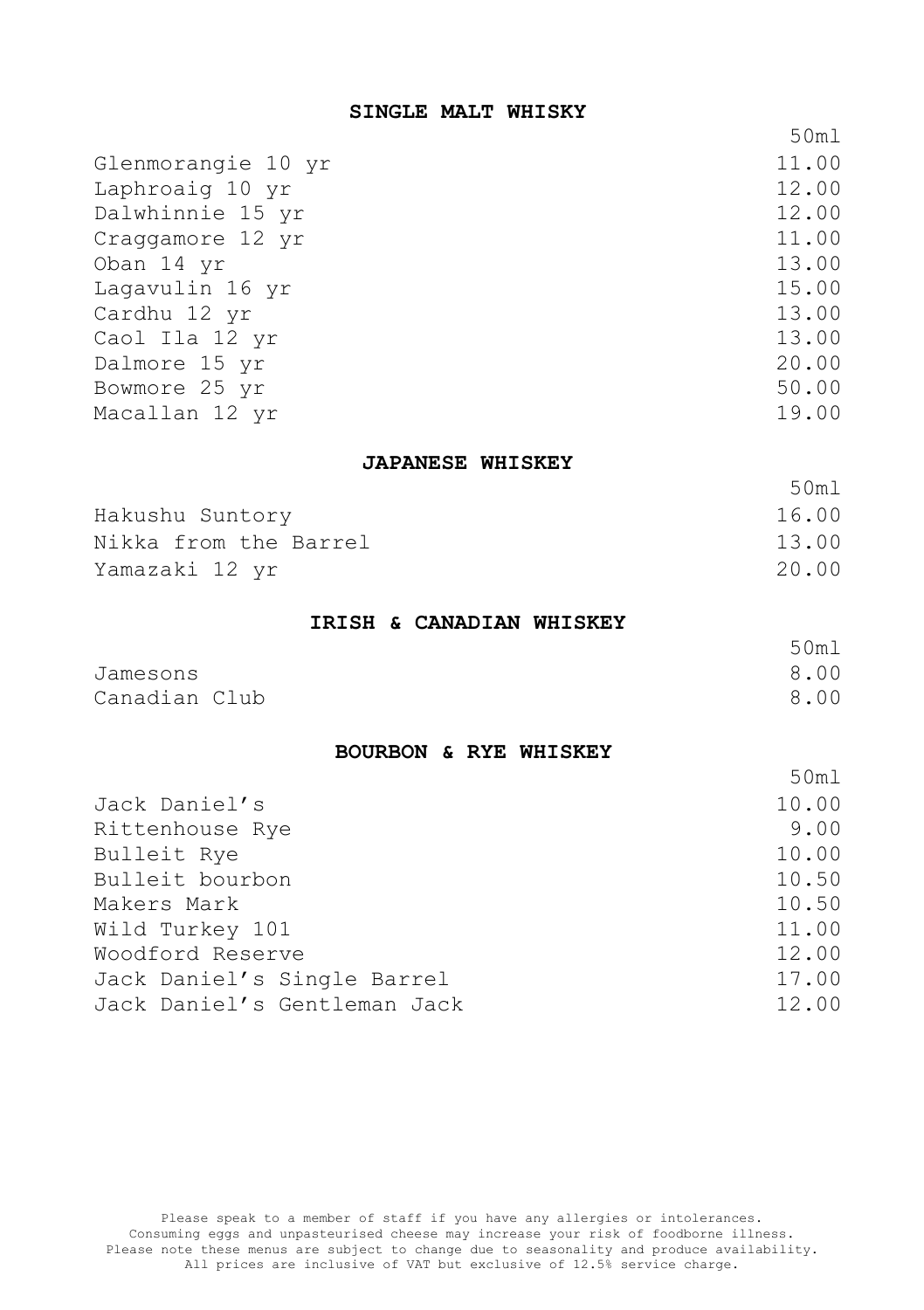## **SINGLE MALT WHISKY**

|                    | 50ml  |
|--------------------|-------|
| Glenmorangie 10 yr | 11.00 |
| Laphroaig 10 yr    | 12.00 |
| Dalwhinnie 15 yr   | 12.00 |
| Craggamore 12 yr   | 11.00 |
| Oban 14 yr         | 13.00 |
| Lagavulin 16 yr    | 15.00 |
| Cardhu 12 yr       | 13.00 |
| Caol Ila 12 yr     | 13.00 |
| Dalmore 15 yr      | 20.00 |
| Bowmore 25 yr      | 50.00 |
| Macallan 12 yr     | 19.00 |

## **JAPANESE WHISKEY**

|                       | 50ml  |
|-----------------------|-------|
| Hakushu Suntory       | 16.00 |
| Nikka from the Barrel | 13.00 |
| Yamazaki 12 yr        | 20.00 |

## **IRISH & CANADIAN WHISKEY**

|               | 50ml |
|---------------|------|
| Jamesons      | 8.00 |
| Canadian Club | 8.00 |

## **BOURBON & RYE WHISKEY**

 $50m1$ 

| Jack Daniel's                | 10.00 |
|------------------------------|-------|
| Rittenhouse Rye              | 9.00  |
| Bulleit Rye                  | 10.00 |
| Bulleit bourbon              | 10.50 |
| Makers Mark                  | 10.50 |
| Wild Turkey 101              | 11.00 |
| Woodford Reserve             | 12.00 |
| Jack Daniel's Single Barrel  | 17.00 |
| Jack Daniel's Gentleman Jack | 12.00 |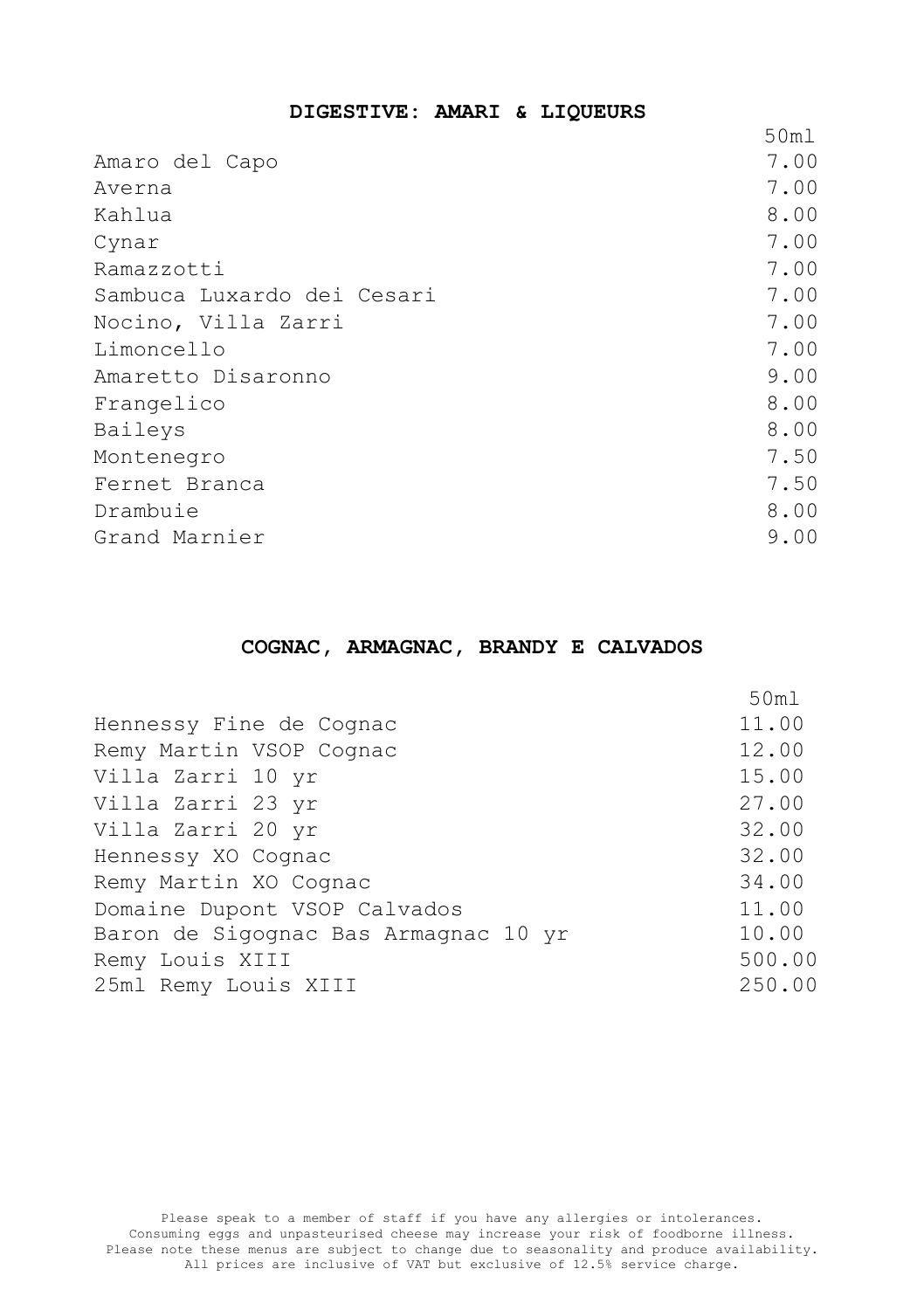## **DIGESTIVE: AMARI & LIQUEURS**

|                            | 50m1 |
|----------------------------|------|
| Amaro del Capo             | 7.00 |
| Averna                     | 7.00 |
| Kahlua                     | 8.00 |
| Cynar                      | 7.00 |
| Ramazzotti                 | 7.00 |
| Sambuca Luxardo dei Cesari | 7.00 |
| Nocino, Villa Zarri        | 7.00 |
| Limoncello                 | 7.00 |
| Amaretto Disaronno         | 9.00 |
| Frangelico                 | 8,00 |
| Baileys                    | 8.00 |
| Montenegro                 | 7.50 |
| Fernet Branca              | 7.50 |
| Drambuie                   | 8.00 |
| Grand Marnier              | 9.00 |

## **COGNAC, ARMAGNAC, BRANDY E CALVADOS**

|                                      | 50ml   |
|--------------------------------------|--------|
| Hennessy Fine de Cognac              | 11.00  |
| Remy Martin VSOP Cognac              | 12.00  |
| Villa Zarri 10 yr                    | 15.00  |
| Villa Zarri 23 yr                    | 27.00  |
| Villa Zarri 20 yr                    | 32.00  |
| Hennessy XO Cognac                   | 32.00  |
| Remy Martin XO Cognac                | 34.00  |
| Domaine Dupont VSOP Calvados         | 11.00  |
| Baron de Sigognac Bas Armagnac 10 yr | 10.00  |
| Remy Louis XIII                      | 500.00 |
| 25ml Remy Louis XIII                 | 250.00 |

Please speak to a member of staff if you have any allergies or intolerances. Consuming eggs and unpasteurised cheese may increase your risk of foodborne illness. Please note these menus are subject to change due to seasonality and produce availability. All prices are inclusive of VAT but exclusive of 12.5% service charge.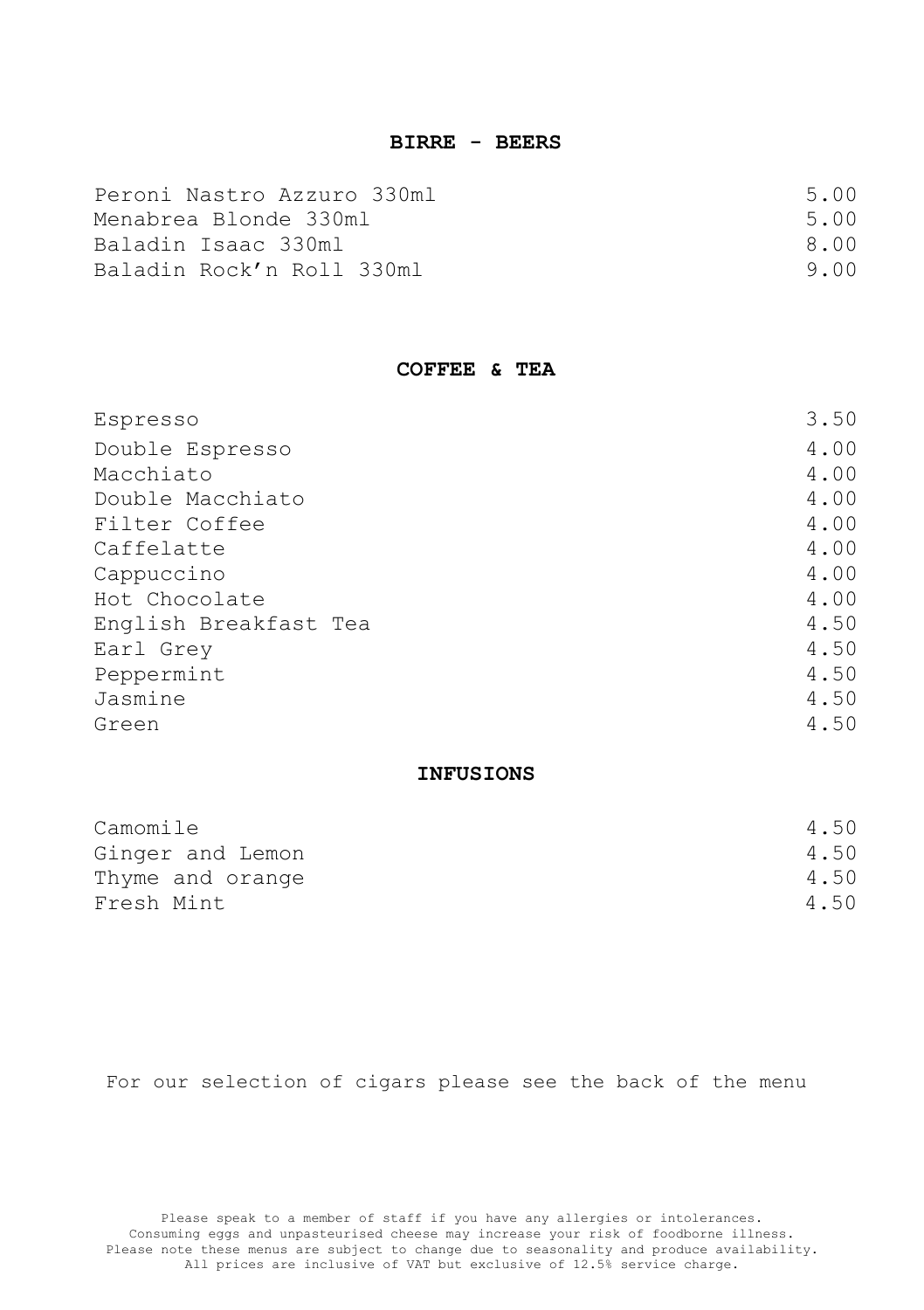#### **BIRRE - BEERS**

| Peroni Nastro Azzuro 330ml | 5.00  |
|----------------------------|-------|
| Menabrea Blonde 330ml      | 5.00  |
| Baladin Isaac 330ml        | 8 N N |
| Baladin Rock'n Roll 330ml  | 900   |

## **COFFEE & TEA**

| Espresso              | 3.50 |
|-----------------------|------|
| Double Espresso       | 4.00 |
| Macchiato             | 4.00 |
| Double Macchiato      | 4.00 |
| Filter Coffee         | 4.00 |
| Caffelatte            | 4.00 |
| Cappuccino            | 4.00 |
| Hot Chocolate         | 4.00 |
| English Breakfast Tea | 4.50 |
| Earl Grey             | 4.50 |
| Peppermint            | 4.50 |
| Jasmine               | 4.50 |
| Green                 | 4.50 |

## **INFUSIONS**

| Camomile         | 4.50 |
|------------------|------|
| Ginger and Lemon | 4.50 |
| Thyme and orange | 4.50 |
| Fresh Mint       | 4.50 |

For our selection of cigars please see the back of the menu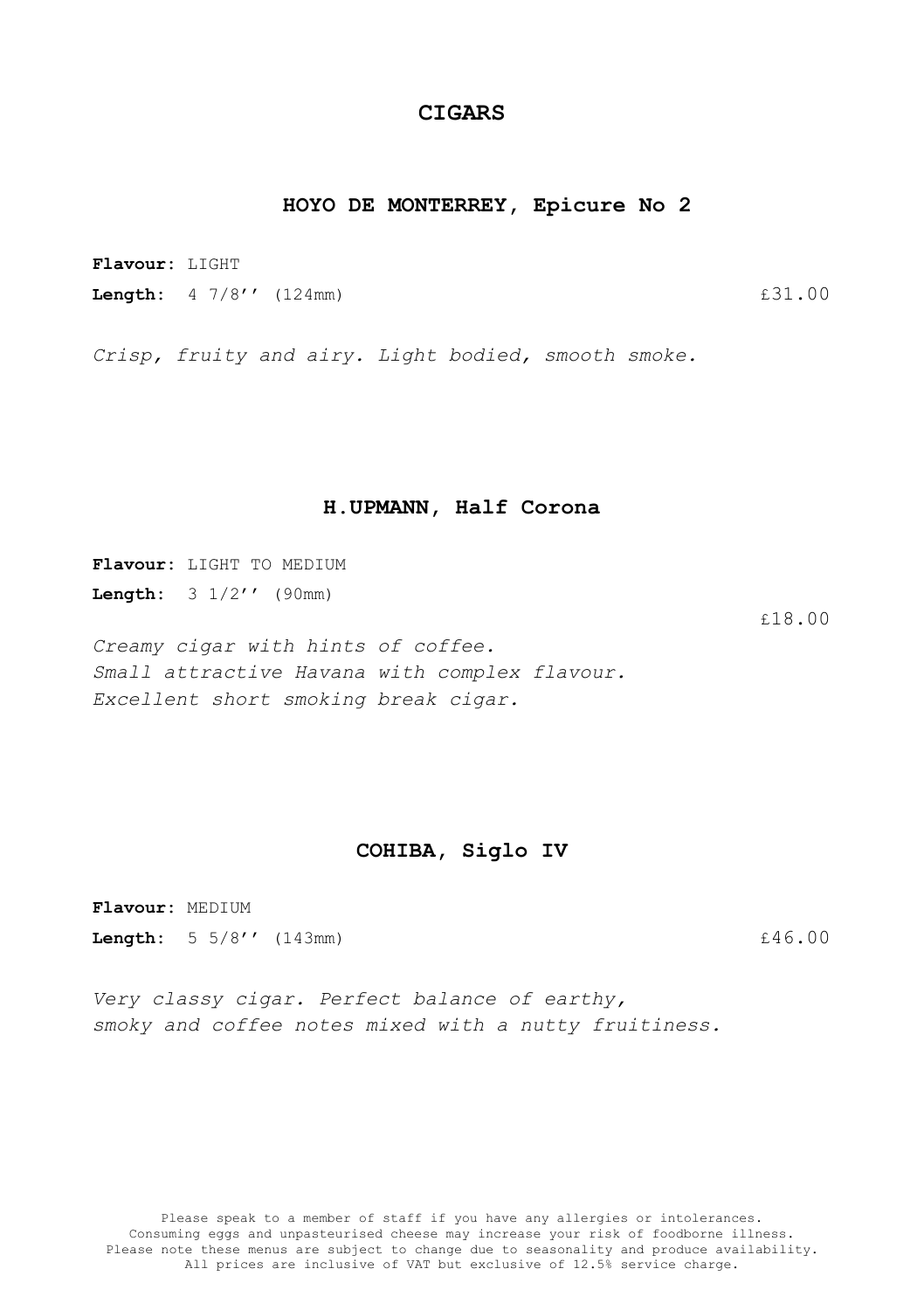## **CIGARS**

#### **HOYO DE MONTERREY, Epicure No 2**

**Flavour:** LIGHT **Length:** 4 7/8'' (124mm)£31.00

*Crisp, fruity and airy. Light bodied, smooth smoke.* 

#### **H.UPMANN, Half Corona**

**Flavour:** LIGHT TO MEDIUM **Length:** 3 1/2'' (90mm)

£18.00 *Creamy cigar with hints of coffee. Small attractive Havana with complex flavour. Excellent short smoking break cigar.* 

#### **COHIBA, Siglo IV**

**Flavour:** MEDIUM **Length:** 5 5/8'' (143mm)£46.00

*Very classy cigar. Perfect balance of earthy, smoky and coffee notes mixed with a nutty fruitiness.*